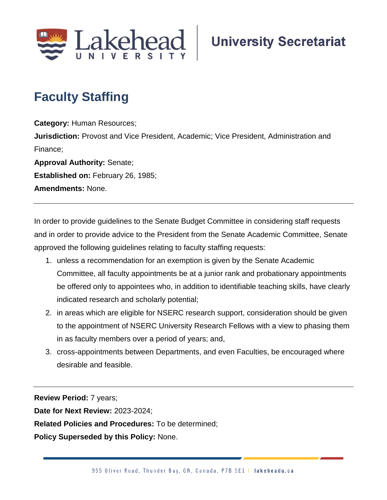

## **Faculty Staffing**

**Category:** Human Resources; **Jurisdiction:** Provost and Vice President, Academic; Vice President, Administration and Finance; **Approval Authority:** Senate; **Established on:** February 26, 1985;

**Amendments:** None.

In order to provide guidelines to the Senate Budget Committee in considering staff requests and in order to provide advice to the President from the Senate Academic Committee, Senate approved the following guidelines relating to faculty staffing requests:

- 1. unless a recommendation for an exemption is given by the Senate Academic Committee, all faculty appointments be at a junior rank and probationary appointments be offered only to appointees who, in addition to identifiable teaching skills, have clearly indicated research and scholarly potential;
- 2. in areas which are eligible for NSERC research support, consideration should be given to the appointment of NSERC University Research Fellows with a view to phasing them in as faculty members over a period of years; and,
- 3. cross-appointments between Departments, and even Faculties, be encouraged where desirable and feasible.

**Review Period:** 7 years;

**Date for Next Review:** 2023-2024;

**Related Policies and Procedures:** To be determined;

**Policy Superseded by this Policy:** None.